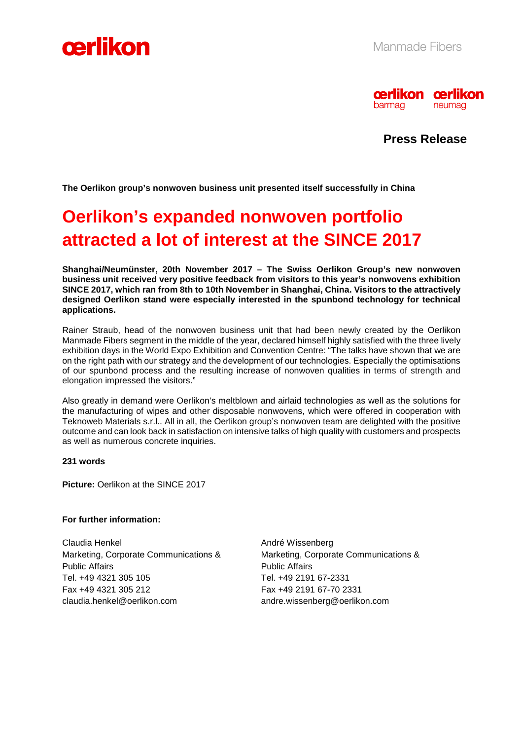



**Press Release** 

**The Oerlikon group's nonwoven business unit presented itself successfully in China** 

# **Oerlikon's expanded nonwoven portfolio attracted a lot of interest at the SINCE 2017**

**Shanghai/Neumünster, 20th November 2017 – The Swiss Oerlikon Group's new nonwoven business unit received very positive feedback from visitors to this year's nonwovens exhibition SINCE 2017, which ran from 8th to 10th November in Shanghai, China. Visitors to the attractively designed Oerlikon stand were especially interested in the spunbond technology for technical applications.** 

Rainer Straub, head of the nonwoven business unit that had been newly created by the Oerlikon Manmade Fibers segment in the middle of the year, declared himself highly satisfied with the three lively exhibition days in the World Expo Exhibition and Convention Centre: "The talks have shown that we are on the right path with our strategy and the development of our technologies. Especially the optimisations of our spunbond process and the resulting increase of nonwoven qualities in terms of strength and elongation impressed the visitors."

Also greatly in demand were Oerlikon's meltblown and airlaid technologies as well as the solutions for the manufacturing of wipes and other disposable nonwovens, which were offered in cooperation with Teknoweb Materials s.r.l.. All in all, the Oerlikon group's nonwoven team are delighted with the positive outcome and can look back in satisfaction on intensive talks of high quality with customers and prospects as well as numerous concrete inquiries.

#### **231 words**

**Picture: Oerlikon at the SINCE 2017** 

# **For further information:**

Claudia Henkel Marketing, Corporate Communications & Public Affairs Tel. +49 4321 305 105 Fax +49 4321 305 212 claudia.henkel@oerlikon.com

André Wissenberg Marketing, Corporate Communications & Public Affairs Tel. +49 2191 67-2331 Fax +49 2191 67-70 2331 andre.wissenberg@oerlikon.com